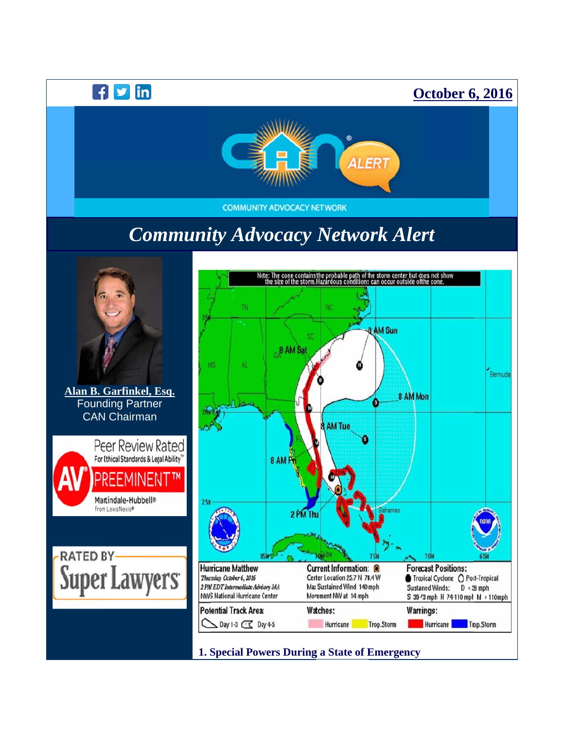

# **Community Advocacy Network Alert**



1. Special Powers During a State of Emergency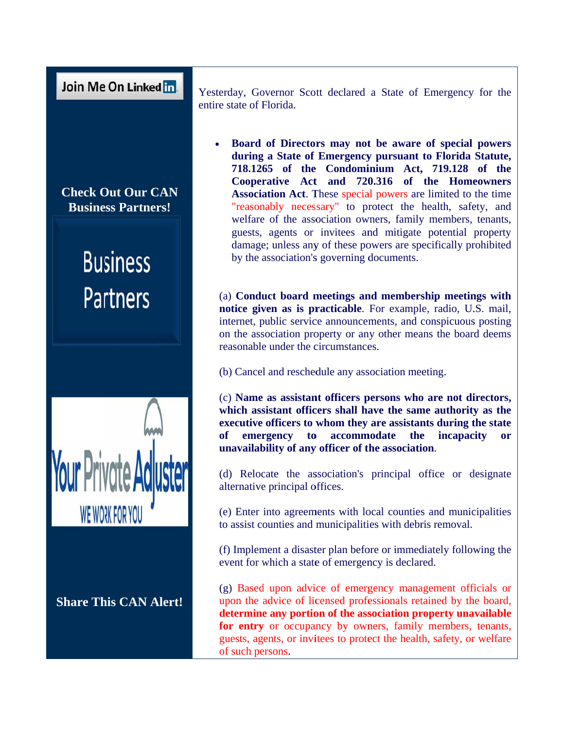Join Me On Linked in.

## **Check Out Our CAN Business Partners!**

# **Business Partners**



## **Share This CAN Alert!**

Yesterday, Governor Scott declared a State of Emergency for the entire state of Florida.

Board of Directors may not be aware of special powers during a State of Emergency pursuant to Florida Statute, 718.1265 of the Condominium Act, 719.128 of the Cooperative Act and 720.316 of the Homeowners **Association Act.** These special powers are limited to the time "reasonably necessary" to protect the health, safety, and welfare of the association owners, family members, tenants, guests, agents or invitees and mitigate potential property damage; unless any of these powers are specifically prohibited by the association's governing documents.

(a) Conduct board meetings and membership meetings with notice given as is practicable. For example, radio, U.S. mail, internet, public service announcements, and conspicuous posting on the association property or any other means the board deems reasonable under the circumstances.

(b) Cancel and reschedule any association meeting.

(c) Name as assistant officers persons who are not directors, which assistant officers shall have the same authority as the executive officers to whom they are assistants during the state emergency to accommodate the incapacity of  $\mathbf{or}$ unavailability of any officer of the association.

(d) Relocate the association's principal office or designate alternative principal offices.

(e) Enter into agreements with local counties and municipalities to assist counties and municipalities with debris removal.

(f) Implement a disaster plan before or immediately following the event for which a state of emergency is declared.

(g) Based upon advice of emergency management officials or upon the advice of licensed professionals retained by the board, determine any portion of the association property unavailable for entry or occupancy by owners, family members, tenants, guests, agents, or invitees to protect the health, safety, or welfare of such persons.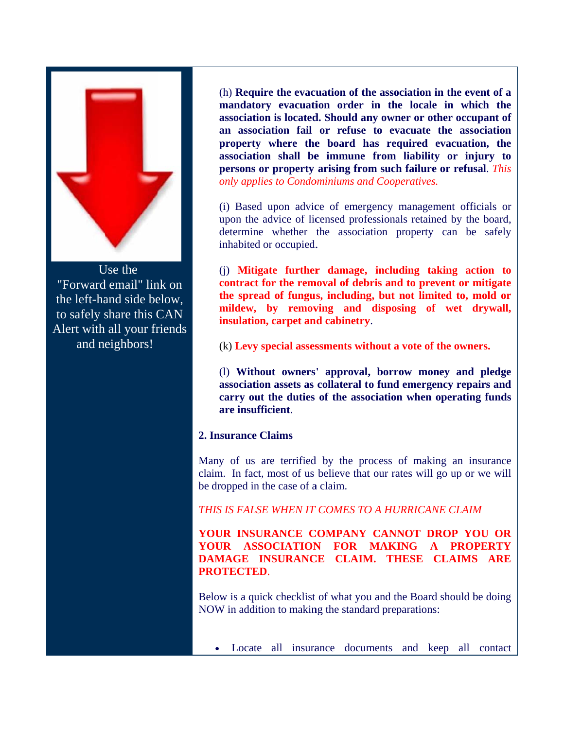

Use the "Forward email" link on the left-hand side below. to safely share this CAN Alert with all your friends and neighbors!

(h) Require the evacuation of the association in the event of a mandatory evacuation order in the locale in which the association is located. Should any owner or other occupant of an association fail or refuse to evacuate the association property where the board has required evacuation, the association shall be immune from liability or injury to persons or property arising from such failure or refusal. This only applies to Condominiums and Cooperatives.

(i) Based upon advice of emergency management officials or upon the advice of licensed professionals retained by the board, determine whether the association property can be safely inhabited or occupied.

(j) Mitigate further damage, including taking action to contract for the removal of debris and to prevent or mitigate the spread of fungus, including, but not limited to, mold or mildew, by removing and disposing of wet drywall, insulation, carpet and cabinetry.

(k) Levy special assessments without a vote of the owners.

(1) Without owners' approval, borrow money and pledge association assets as collateral to fund emergency repairs and carry out the duties of the association when operating funds are insufficient.

#### 2. Insurance Claims

Many of us are terrified by the process of making an insurance claim. In fact, most of us believe that our rates will go up or we will be dropped in the case of a claim.

THIS IS FALSE WHEN IT COMES TO A HURRICANE CLAIM

YOUR INSURANCE COMPANY CANNOT DROP YOU OR YOUR ASSOCIATION FOR MAKING A PROPERTY DAMAGE INSURANCE CLAIM, THESE CLAIMS ARE **PROTECTED.** 

Below is a quick checklist of what you and the Board should be doing NOW in addition to making the standard preparations:

• Locate all insurance documents and keep all contact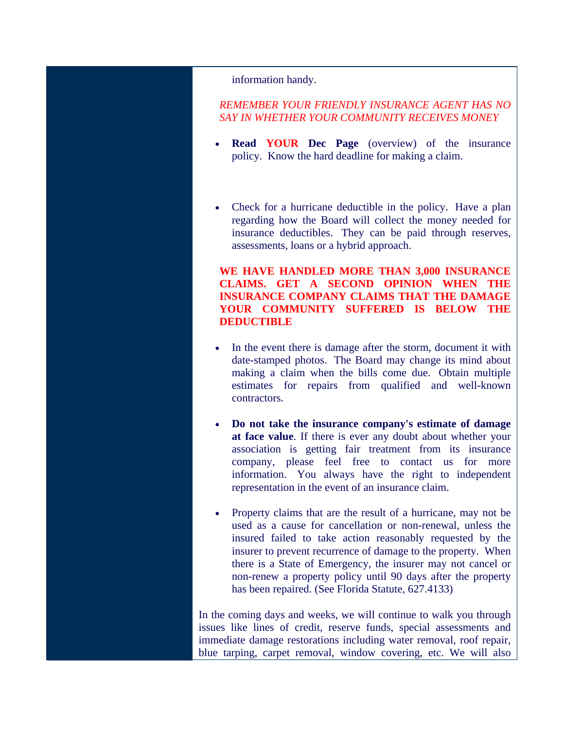information handy.

#### *REMEMBER YOUR FRIENDLY INSURANCE AGENT HAS NO SAY IN WHETHER YOUR COMMUNITY RECEIVES MONEY*

- **Read YOUR Dec Page** (overview) of the insurance policy. Know the hard deadline for making a claim.
- Check for a hurricane deductible in the policy. Have a plan regarding how the Board will collect the money needed for insurance deductibles. They can be paid through reserves, assessments, loans or a hybrid approach.

#### **WE HAVE HANDLED MORE THAN 3,000 INSURANCE CLAIMS. GET A SECOND OPINION WHEN THE INSURANCE COMPANY CLAIMS THAT THE DAMAGE YOUR COMMUNITY SUFFERED IS BELOW THE DEDUCTIBLE**

- In the event there is damage after the storm, document it with date-stamped photos. The Board may change its mind about making a claim when the bills come due. Obtain multiple estimates for repairs from qualified and well-known contractors.
- **Do not take the insurance company's estimate of damage at face value**. If there is ever any doubt about whether your association is getting fair treatment from its insurance company, please feel free to contact us for more information. You always have the right to independent representation in the event of an insurance claim.
- Property claims that are the result of a hurricane, may not be used as a cause for cancellation or non-renewal, unless the insured failed to take action reasonably requested by the insurer to prevent recurrence of damage to the property. When there is a State of Emergency, the insurer may not cancel or non-renew a property policy until 90 days after the property has been repaired. (See Florida Statute, 627.4133)

In the coming days and weeks, we will continue to walk you through issues like lines of credit, reserve funds, special assessments and immediate damage restorations including water removal, roof repair, blue tarping, carpet removal, window covering, etc. We will also